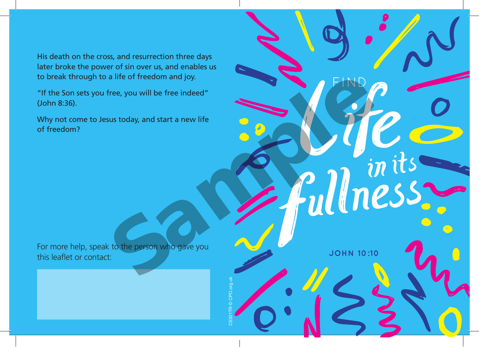His death on the cross, and resurrection three days later broke the power of sin over us, and enables us to break through to a life of freedom and joy.

"If the Son sets you free, you will be free indeed" (John 8:36).

of freedom? Why not come to Jesus today, and start a new life

For more help, speak to the person who gave you this leaflet or contact: "If the Son sets you free, you will be free indeed"<br>(John 8:36).<br>Why not come to Jesus today, and start a new life<br>of freedom?<br>The more help, speak to the person who gave you

C5301TR © CPO.org.uk

**JOHN 10:10**

FIND